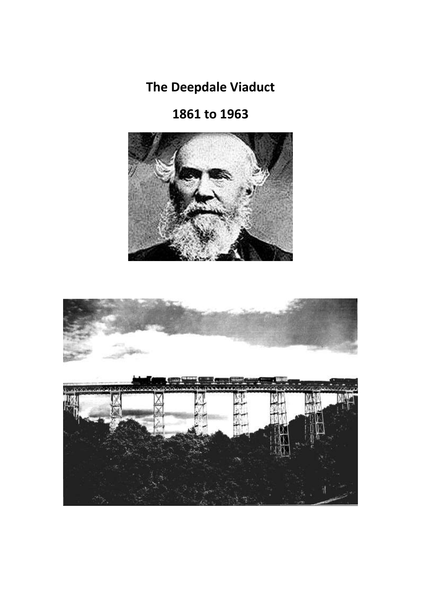**The Deepdale Viaduct**

**1861 to 1963**



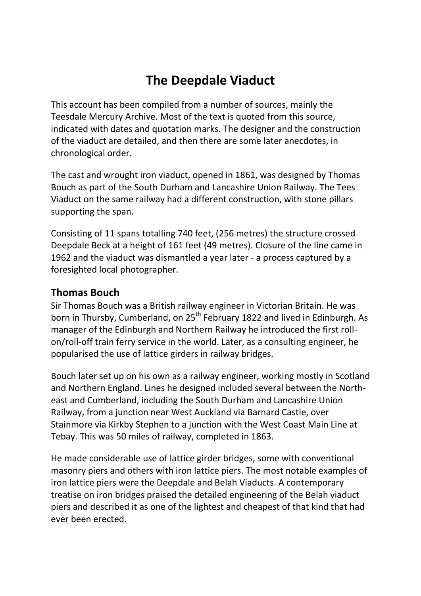# **The Deepdale Viaduct**

This account has been compiled from a number of sources, mainly the Teesdale Mercury Archive. Most of the text is quoted from this source, indicated with dates and quotation marks. The designer and the construction of the viaduct are detailed, and then there are some later anecdotes, in chronological order.

The cast and wrought iron viaduct, opened in 1861, was designed by Thomas Bouch as part of the South Durham and Lancashire Union Railway. The Tees Viaduct on the same railway had a different construction, with stone pillars supporting the span.

Consisting of 11 spans totalling 740 feet, (256 metres) the structure crossed Deepdale Beck at a height of 161 feet (49 metres). Closure of the line came in 1962 and the viaduct was dismantled a year later - a process captured by a foresighted local photographer.

## **Thomas Bouch**

Sir Thomas Bouch was a British railway engineer in Victorian Britain. He was born in Thursby, Cumberland, on 25<sup>th</sup> February 1822 and lived in Edinburgh. As manager of the Edinburgh and Northern Railway he introduced the first rollon/roll-off train ferry service in the world. Later, as a consulting engineer, he popularised the use of lattice girders in railway bridges.

Bouch later set up on his own as a railway engineer, working mostly in Scotland and Northern England. Lines he designed included several between the Northeast and Cumberland, including the South Durham and Lancashire Union Railway, from a junction near West Auckland via Barnard Castle, over Stainmore via Kirkby Stephen to a junction with the West Coast Main Line at Tebay. This was 50 miles of railway, completed in 1863.

He made considerable use of lattice girder bridges, some with conventional masonry piers and others with iron lattice piers. The most notable examples of iron lattice piers were the Deepdale and Belah Viaducts. A contemporary treatise on iron bridges praised the detailed engineering of the Belah viaduct piers and described it as one of the lightest and cheapest of that kind that had ever been erected.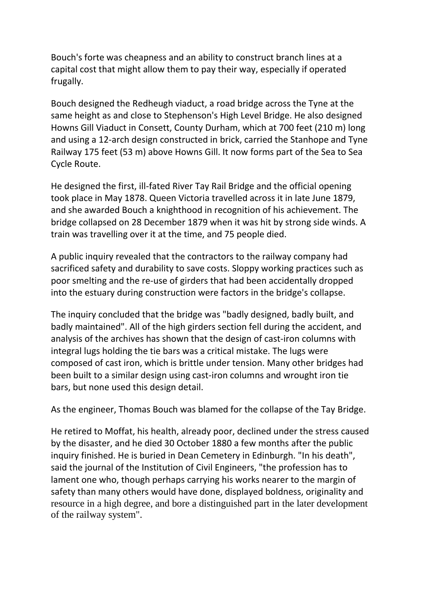Bouch's forte was cheapness and an ability to construct branch lines at a capital cost that might allow them to pay their way, especially if operated frugally.

Bouch designed the Redheugh viaduct, a road bridge across the Tyne at the same height as and close to Stephenson's High Level Bridge. He also designed Howns Gill Viaduct in Consett, County Durham, which at 700 feet (210 m) long and using a 12-arch design constructed in brick, carried the Stanhope and Tyne Railway 175 feet (53 m) above Howns Gill. It now forms part of the Sea to Sea Cycle Route.

He designed the first, ill-fated River Tay Rail Bridge and the official opening took place in May 1878. Queen Victoria travelled across it in late June 1879, and she awarded Bouch a knighthood in recognition of his achievement. The bridge collapsed on 28 December 1879 when it was hit by strong side winds. A train was travelling over it at the time, and 75 people died.

A public inquiry revealed that the contractors to the railway company had sacrificed safety and durability to save costs. Sloppy working practices such as poor smelting and the re-use of girders that had been accidentally dropped into the estuary during construction were factors in the bridge's collapse.

The inquiry concluded that the bridge was "badly designed, badly built, and badly maintained". All of the high girders section fell during the accident, and analysis of the archives has shown that the design of cast-iron columns with integral lugs holding the tie bars was a critical mistake. The lugs were composed of cast iron, which is brittle under tension. Many other bridges had been built to a similar design using cast-iron columns and wrought iron tie bars, but none used this design detail.

As the engineer, Thomas Bouch was blamed for the collapse of the Tay Bridge.

He retired to Moffat, his health, already poor, declined under the stress caused by the disaster, and he died 30 October 1880 a few months after the public inquiry finished. He is buried in Dean Cemetery in Edinburgh. "In his death", said the journal of the Institution of Civil Engineers, "the profession has to lament one who, though perhaps carrying his works nearer to the margin of safety than many others would have done, displayed boldness, originality and resource in a high degree, and bore a distinguished part in the later development of the railway system".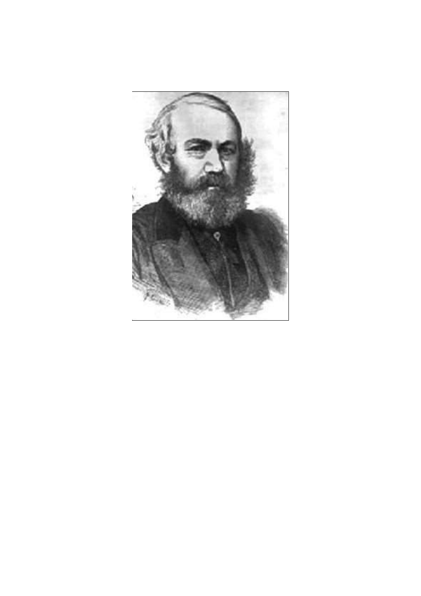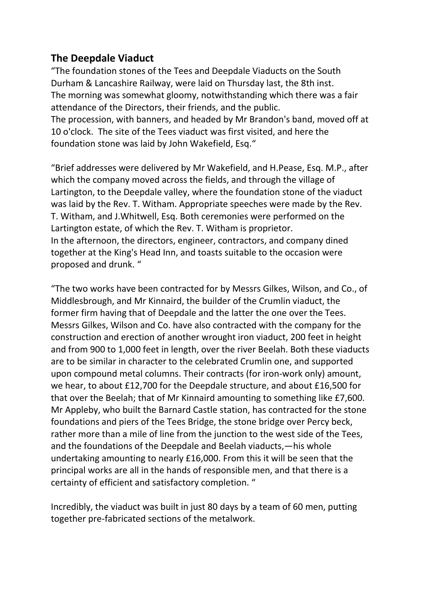# **The Deepdale Viaduct**

"The foundation stones of the Tees and Deepdale Viaducts on the South Durham & Lancashire Railway, were laid on Thursday last, the 8th inst. The morning was somewhat gloomy, notwithstanding which there was a fair attendance of the Directors, their friends, and the public. The procession, with banners, and headed by Mr Brandon's band, moved off at 10 o'clock. The site of the Tees viaduct was first visited, and here the foundation stone was laid by John Wakefield, Esq."

"Brief addresses were delivered by Mr Wakefield, and H.Pease, Esq. M.P., after which the company moved across the fields, and through the village of Lartington, to the Deepdale valley, where the foundation stone of the viaduct was laid by the Rev. T. Witham. Appropriate speeches were made by the Rev. T. Witham, and J.Whitwell, Esq. Both ceremonies were performed on the Lartington estate, of which the Rev. T. Witham is proprietor. In the afternoon, the directors, engineer, contractors, and company dined together at the King's Head Inn, and toasts suitable to the occasion were proposed and drunk. "

"The two works have been contracted for by Messrs Gilkes, Wilson, and Co., of Middlesbrough, and Mr Kinnaird, the builder of the Crumlin viaduct, the former firm having that of Deepdale and the latter the one over the Tees. Messrs Gilkes, Wilson and Co. have also contracted with the company for the construction and erection of another wrought iron viaduct, 200 feet in height and from 900 to 1,000 feet in length, over the river Beelah. Both these viaducts are to be similar in character to the celebrated Crumlin one, and supported upon compound metal columns. Their contracts (for iron-work only) amount, we hear, to about £12,700 for the Deepdale structure, and about £16,500 for that over the Beelah; that of Mr Kinnaird amounting to something like £7,600. Mr Appleby, who built the Barnard Castle station, has contracted for the stone foundations and piers of the Tees Bridge, the stone bridge over Percy beck, rather more than a mile of line from the junction to the west side of the Tees, and the foundations of the Deepdale and Beelah viaducts,—his whole undertaking amounting to nearly £16,000. From this it will be seen that the principal works are all in the hands of responsible men, and that there is a certainty of efficient and satisfactory completion. "

Incredibly, the viaduct was built in just 80 days by a team of 60 men, putting together pre-fabricated sections of the metalwork.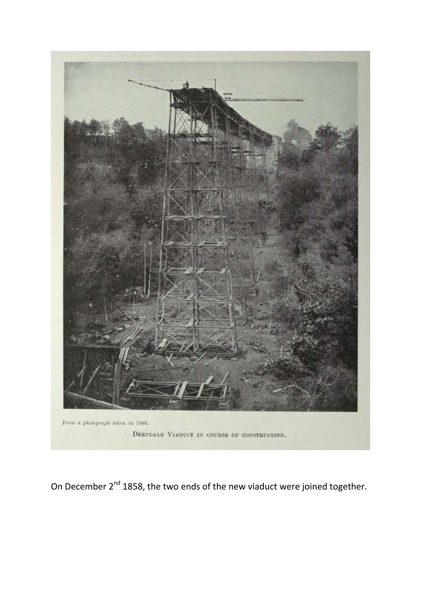

On December  $2^{nd}$  1858, the two ends of the new viaduct were joined together.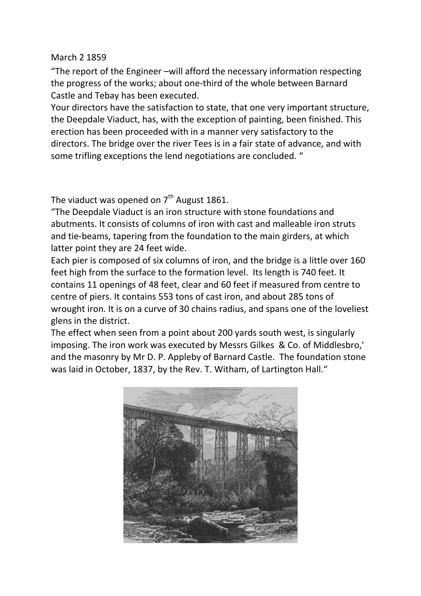#### March 2 1859

"The report of the Engineer –will afford the necessary information respecting the progress of the works; about one-third of the whole between Barnard Castle and Tebay has been executed.

Your directors have the satisfaction to state, that one very important structure, the Deepdale Viaduct, has, with the exception of painting, been finished. This erection has been proceeded with in a manner very satisfactory to the directors. The bridge over the river Tees is in a fair state of advance, and with some trifling exceptions the lend negotiations are concluded. "

The viaduct was opened on  $7<sup>th</sup>$  August 1861.

"The Deepdale Viaduct is an iron structure with stone foundations and abutments. It consists of columns of iron with cast and malleable iron struts and tie-beams, tapering from the foundation to the main girders, at which latter point they are 24 feet wide.

Each pier is composed of six columns of iron, and the bridge is a little over 160 feet high from the surface to the formation level. Its length is 740 feet. It contains 11 openings of 48 feet, clear and 60 feet if measured from centre to centre of piers. It contains 553 tons of cast iron, and about 285 tons of wrought iron. It is on a curve of 30 chains radius, and spans one of the loveliest glens in the district.

The effect when seen from a point about 200 yards south west, is singularly imposing. The iron work was executed by Messrs Gilkes & Co. of Middlesbro,' and the masonry by Mr D. P. Appleby of Barnard Castle. The foundation stone was laid in October, 1837, by the Rev. T. Witham, of Lartington Hall."

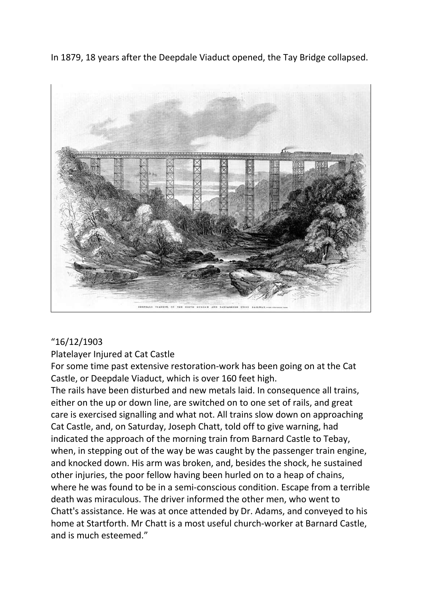In 1879, 18 years after the Deepdale Viaduct opened, the Tay Bridge collapsed.



## "16/12/1903

#### Platelayer Injured at Cat Castle

For some time past extensive restoration-work has been going on at the Cat Castle, or Deepdale Viaduct, which is over 160 feet high.

The rails have been disturbed and new metals laid. In consequence all trains, either on the up or down line, are switched on to one set of rails, and great care is exercised signalling and what not. All trains slow down on approaching Cat Castle, and, on Saturday, Joseph Chatt, told off to give warning, had indicated the approach of the morning train from Barnard Castle to Tebay, when, in stepping out of the way be was caught by the passenger train engine, and knocked down. His arm was broken, and, besides the shock, he sustained other injuries, the poor fellow having been hurled on to a heap of chains, where he was found to be in a semi-conscious condition. Escape from a terrible death was miraculous. The driver informed the other men, who went to Chatt's assistance. He was at once attended by Dr. Adams, and conveyed to his home at Startforth. Mr Chatt is a most useful church-worker at Barnard Castle, and is much esteemed."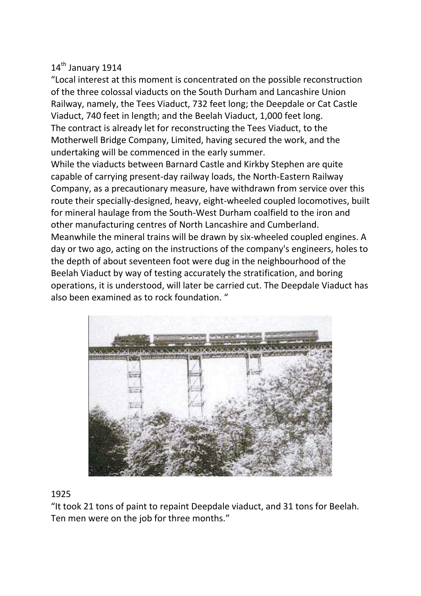## 14<sup>th</sup> January 1914

"Local interest at this moment is concentrated on the possible reconstruction of the three colossal viaducts on the South Durham and Lancashire Union Railway, namely, the Tees Viaduct, 732 feet long; the Deepdale or Cat Castle Viaduct, 740 feet in length; and the Beelah Viaduct, 1,000 feet long. The contract is already let for reconstructing the Tees Viaduct, to the Motherwell Bridge Company, Limited, having secured the work, and the undertaking will be commenced in the early summer.

While the viaducts between Barnard Castle and Kirkby Stephen are quite capable of carrying present-day railway loads, the North-Eastern Railway Company, as a precautionary measure, have withdrawn from service over this route their specially-designed, heavy, eight-wheeled coupled locomotives, built for mineral haulage from the South-West Durham coalfield to the iron and other manufacturing centres of North Lancashire and Cumberland. Meanwhile the mineral trains will be drawn by six-wheeled coupled engines. A day or two ago, acting on the instructions of the company's engineers, holes to the depth of about seventeen foot were dug in the neighbourhood of the Beelah Viaduct by way of testing accurately the stratification, and boring operations, it is understood, will later be carried cut. The Deepdale Viaduct has also been examined as to rock foundation. "



#### 1925

"It took 21 tons of paint to repaint Deepdale viaduct, and 31 tons for Beelah. Ten men were on the job for three months."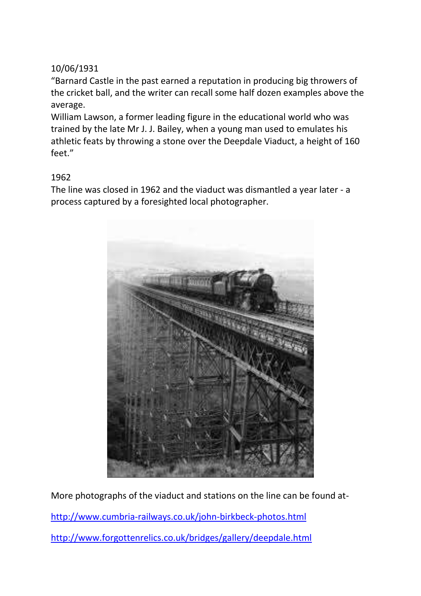## 10/06/1931

"Barnard Castle in the past earned a reputation in producing big throwers of the cricket ball, and the writer can recall some half dozen examples above the average.

William Lawson, a former leading figure in the educational world who was trained by the late Mr J. J. Bailey, when a young man used to emulates his athletic feats by throwing a stone over the Deepdale Viaduct, a height of 160 feet."

## 1962

The line was closed in 1962 and the viaduct was dismantled a year later - a process captured by a foresighted local photographer.



More photographs of the viaduct and stations on the line can be found at-

<http://www.cumbria-railways.co.uk/john-birkbeck-photos.html>

<http://www.forgottenrelics.co.uk/bridges/gallery/deepdale.html>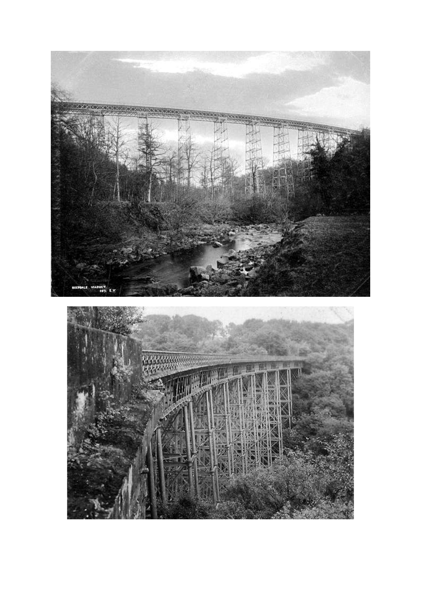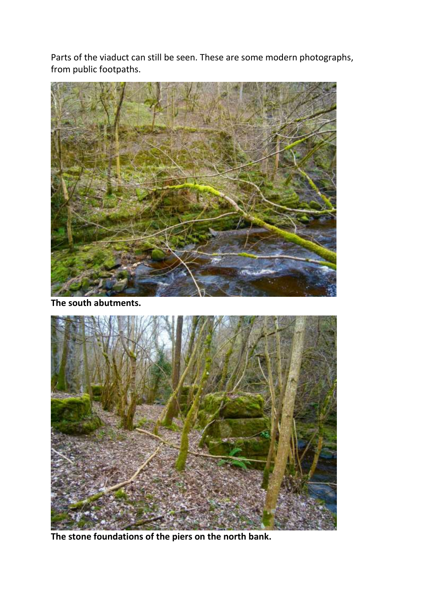Parts of the viaduct can still be seen. These are some modern photographs, from public footpaths.



**The south abutments.**



**The stone foundations of the piers on the north bank.**